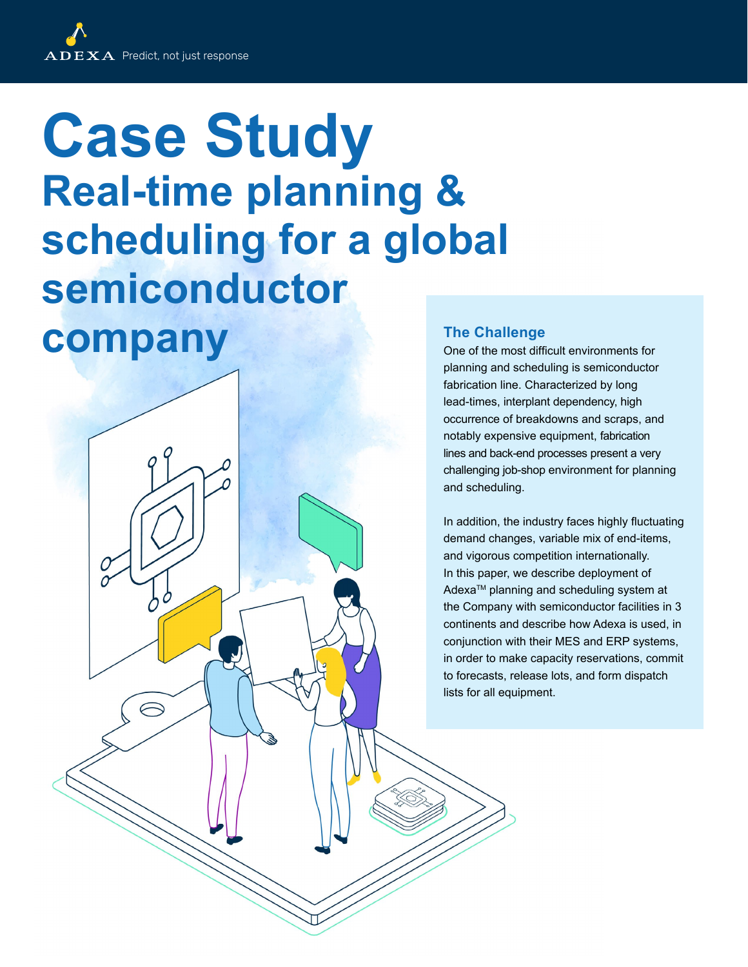# **Case Study Real-time planning & scheduling for a global semiconductor company** The Challenge **Company**

One of the most difficult environments for planning and scheduling is semiconductor fabrication line. Characterized by long lead-times, interplant dependency, high occurrence of breakdowns and scraps, and notably expensive equipment, fabrication lines and back-end processes present a very challenging job-shop environment for planning and scheduling.

In addition, the industry faces highly fluctuating demand changes, variable mix of end-items, and vigorous competition internationally. In this paper, we describe deployment of Adexa<sup>™</sup> planning and scheduling system at the Company with semiconductor facilities in 3 continents and describe how Adexa is used, in conjunction with their MES and ERP systems, in order to make capacity reservations, commit to forecasts, release lots, and form dispatch lists for all equipment.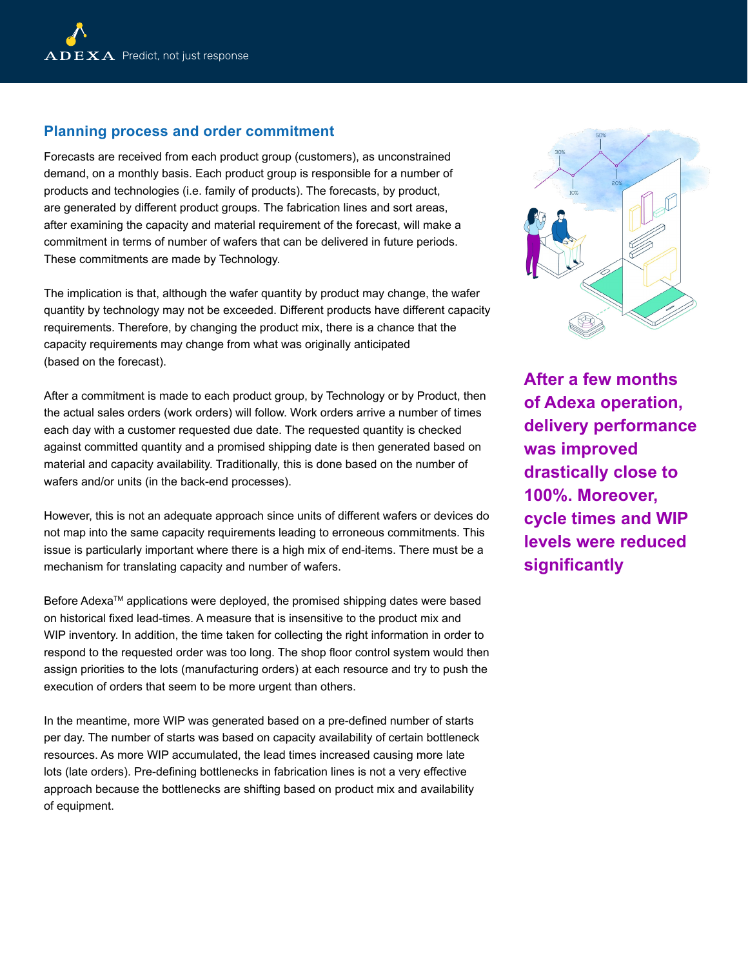### **Planning process and order commitment**

Forecasts are received from each product group (customers), as unconstrained demand, on a monthly basis. Each product group is responsible for a number of products and technologies (i.e. family of products). The forecasts, by product, are generated by different product groups. The fabrication lines and sort areas, after examining the capacity and material requirement of the forecast, will make a commitment in terms of number of wafers that can be delivered in future periods. These commitments are made by Technology.

The implication is that, although the wafer quantity by product may change, the wafer quantity by technology may not be exceeded. Different products have different capacity requirements. Therefore, by changing the product mix, there is a chance that the capacity requirements may change from what was originally anticipated (based on the forecast).

After a commitment is made to each product group, by Technology or by Product, then the actual sales orders (work orders) will follow. Work orders arrive a number of times each day with a customer requested due date. The requested quantity is checked against committed quantity and a promised shipping date is then generated based on material and capacity availability. Traditionally, this is done based on the number of wafers and/or units (in the back-end processes).

However, this is not an adequate approach since units of different wafers or devices do not map into the same capacity requirements leading to erroneous commitments. This issue is particularly important where there is a high mix of end-items. There must be a mechanism for translating capacity and number of wafers.

Before Adexa™ applications were deployed, the promised shipping dates were based on historical fixed lead-times. A measure that is insensitive to the product mix and WIP inventory. In addition, the time taken for collecting the right information in order to respond to the requested order was too long. The shop floor control system would then assign priorities to the lots (manufacturing orders) at each resource and try to push the execution of orders that seem to be more urgent than others.

In the meantime, more WIP was generated based on a pre-defined number of starts per day. The number of starts was based on capacity availability of certain bottleneck resources. As more WIP accumulated, the lead times increased causing more late lots (late orders). Pre-defining bottlenecks in fabrication lines is not a very effective approach because the bottlenecks are shifting based on product mix and availability of equipment.



**After a few months of Adexa operation, delivery performance was improved drastically close to 100%. Moreover, cycle times and WIP levels were reduced significantly**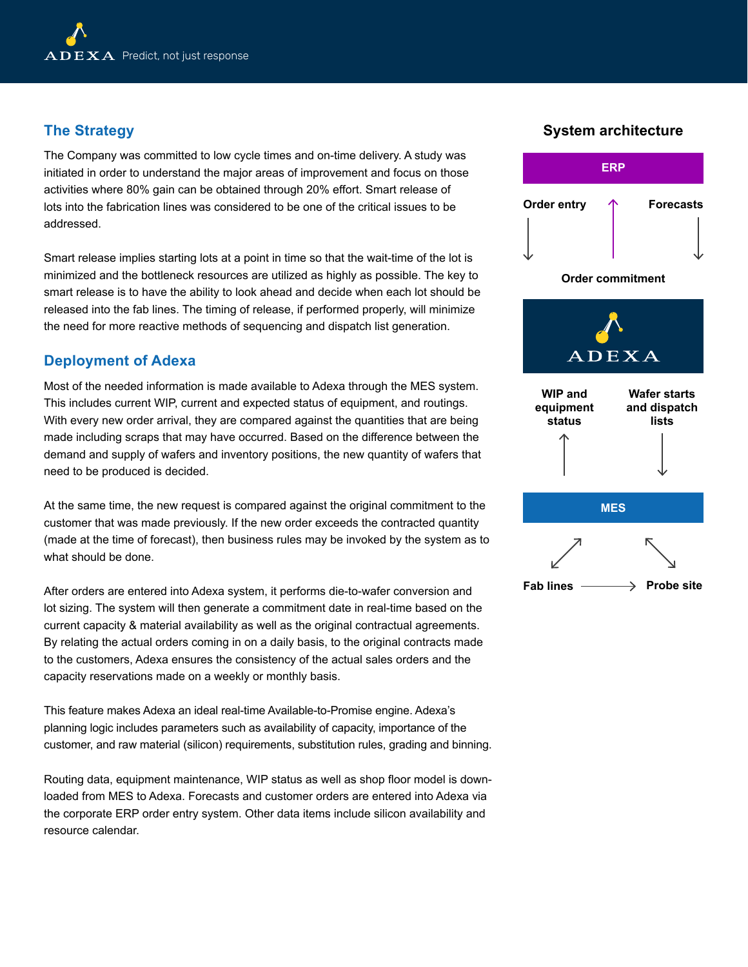# **The Strategy**

The Company was committed to low cycle times and on-time delivery. A study was initiated in order to understand the major areas of improvement and focus on those activities where 80% gain can be obtained through 20% effort. Smart release of lots into the fabrication lines was considered to be one of the critical issues to be addressed.

Smart release implies starting lots at a point in time so that the wait-time of the lot is minimized and the bottleneck resources are utilized as highly as possible. The key to smart release is to have the ability to look ahead and decide when each lot should be released into the fab lines. The timing of release, if performed properly, will minimize the need for more reactive methods of sequencing and dispatch list generation.

# **Deployment of Adexa**

Most of the needed information is made available to Adexa through the MES system. This includes current WIP, current and expected status of equipment, and routings. With every new order arrival, they are compared against the quantities that are being made including scraps that may have occurred. Based on the difference between the demand and supply of wafers and inventory positions, the new quantity of wafers that need to be produced is decided.

At the same time, the new request is compared against the original commitment to the customer that was made previously. If the new order exceeds the contracted quantity (made at the time of forecast), then business rules may be invoked by the system as to what should be done.

After orders are entered into Adexa system, it performs die-to-wafer conversion and lot sizing. The system will then generate a commitment date in real-time based on the current capacity & material availability as well as the original contractual agreements. By relating the actual orders coming in on a daily basis, to the original contracts made to the customers, Adexa ensures the consistency of the actual sales orders and the capacity reservations made on a weekly or monthly basis.

This feature makes Adexa an ideal real-time Available-to-Promise engine. Adexa's planning logic includes parameters such as availability of capacity, importance of the customer, and raw material (silicon) requirements, substitution rules, grading and binning.

Routing data, equipment maintenance, WIP status as well as shop floor model is downloaded from MES to Adexa. Forecasts and customer orders are entered into Adexa via the corporate ERP order entry system. Other data items include silicon availability and resource calendar.

## **System architecture**